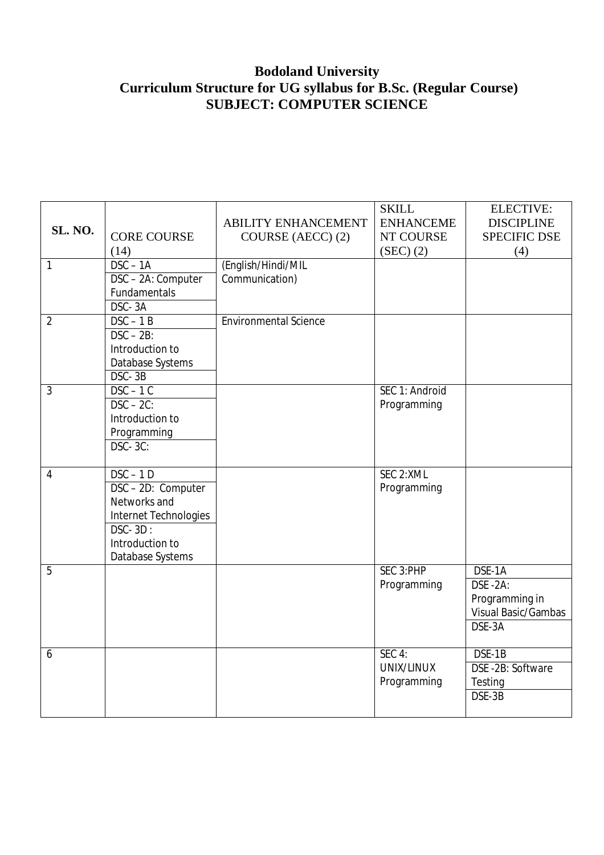# **Bodoland University Curriculum Structure for UG syllabus for B.Sc. (Regular Course) SUBJECT: COMPUTER SCIENCE**

|                |                       |                              | <b>SKILL</b>     | <b>ELECTIVE:</b>           |
|----------------|-----------------------|------------------------------|------------------|----------------------------|
| SL. NO.        |                       | <b>ABILITY ENHANCEMENT</b>   | <b>ENHANCEME</b> | <b>DISCIPLINE</b>          |
|                | <b>CORE COURSE</b>    | COURSE (AECC) (2)            | NT COURSE        | <b>SPECIFIC DSE</b>        |
|                | (14)                  |                              | (SEC) (2)        | (4)                        |
| 1              | $DSC - 1A$            | (English/Hindi/MIL           |                  |                            |
|                | DSC - 2A: Computer    | Communication)               |                  |                            |
|                | Fundamentals          |                              |                  |                            |
|                | DSC-3A                |                              |                  |                            |
| $\overline{2}$ | $DSC - 1B$            | <b>Environmental Science</b> |                  |                            |
|                | $DSC - 2B$ :          |                              |                  |                            |
|                | Introduction to       |                              |                  |                            |
|                | Database Systems      |                              |                  |                            |
|                | DSC-3B                |                              |                  |                            |
| 3              | $DSC - 1C$            |                              | SEC 1: Android   |                            |
|                | $DSC - 2C$ :          |                              | Programming      |                            |
|                | Introduction to       |                              |                  |                            |
|                | Programming           |                              |                  |                            |
|                | <b>DSC-3C:</b>        |                              |                  |                            |
|                |                       |                              |                  |                            |
| 4              | $DSC - 1D$            |                              | SEC 2:XML        |                            |
|                | DSC-2D: Computer      |                              | Programming      |                            |
|                | Networks and          |                              |                  |                            |
|                | Internet Technologies |                              |                  |                            |
|                | $DSC - 3D$ :          |                              |                  |                            |
|                | Introduction to       |                              |                  |                            |
|                | Database Systems      |                              |                  |                            |
| 5              |                       |                              | SEC 3:PHP        | DSE-1A                     |
|                |                       |                              | Programming      | DSE-2A:                    |
|                |                       |                              |                  | Programming in             |
|                |                       |                              |                  | <b>Visual Basic/Gambas</b> |
|                |                       |                              |                  | DSE-3A                     |
|                |                       |                              |                  |                            |
| 6              |                       |                              | $SEC$ 4:         | DSE-1B                     |
|                |                       |                              | UNIX/LINUX       | DSE-2B: Software           |
|                |                       |                              | Programming      | Testing                    |
|                |                       |                              |                  | DSE-3B                     |
|                |                       |                              |                  |                            |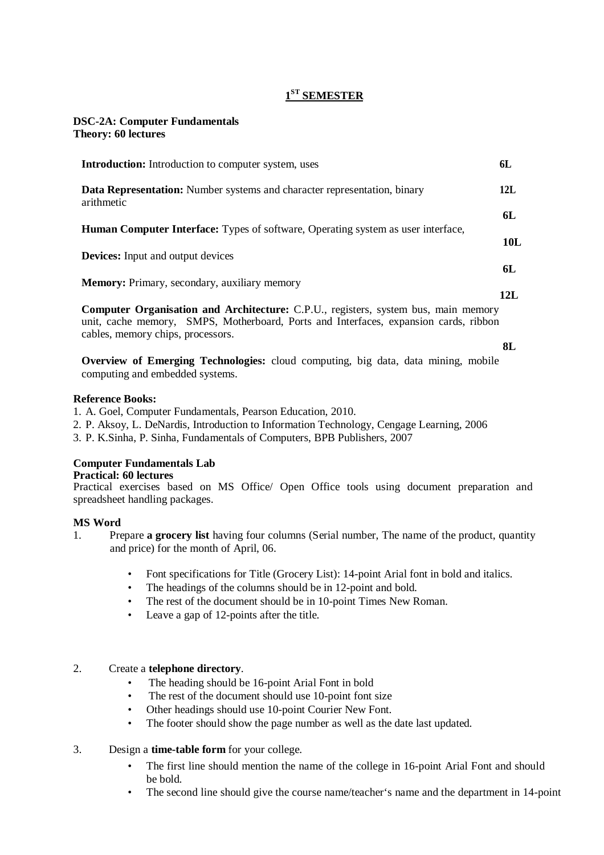# **1 ST SEMESTER**

#### **DSC-2A: Computer Fundamentals Theory: 60 lectures**

| <b>Introduction:</b> Introduction to computer system, uses                                                                                                                 | 6L  |
|----------------------------------------------------------------------------------------------------------------------------------------------------------------------------|-----|
| Data Representation: Number systems and character representation, binary<br>arithmetic                                                                                     | 12L |
|                                                                                                                                                                            | 6L  |
| <b>Human Computer Interface:</b> Types of software, Operating system as user interface,                                                                                    | 10L |
| <b>Devices:</b> Input and output devices                                                                                                                                   |     |
|                                                                                                                                                                            | 6L  |
| <b>Memory:</b> Primary, secondary, auxiliary memory                                                                                                                        | 12L |
| Computer Organisation and Architecture: C.P.U., registers, system bus, main memory<br>unit, cache memory, SMPS, Motherboard, Ports and Interfaces, expansion cards, ribbon |     |

cables, memory chips, processors. **8L**

**Overview of Emerging Technologies:** cloud computing, big data, data mining, mobile computing and embedded systems.

#### **Reference Books:**

1. A. Goel, Computer Fundamentals, Pearson Education, 2010.

2. P. Aksoy, L. DeNardis, Introduction to Information Technology, Cengage Learning, 2006

3. P. K.Sinha, P. Sinha, Fundamentals of Computers, BPB Publishers, 2007

# **Computer Fundamentals Lab**

#### **Practical: 60 lectures**

Practical exercises based on MS Office/ Open Office tools using document preparation and spreadsheet handling packages.

#### **MS Word**

- 1. Prepare **a grocery list** having four columns (Serial number, The name of the product, quantity and price) for the month of April, 06.
	- Font specifications for Title (Grocery List): 14-point Arial font in bold and italics.
	- The headings of the columns should be in 12-point and bold.
	- The rest of the document should be in 10-point Times New Roman.
	- Leave a gap of 12-points after the title.

#### 2. Create a **telephone directory**.

- The heading should be 16-point Arial Font in bold
- The rest of the document should use 10-point font size
- Other headings should use 10-point Courier New Font.
- The footer should show the page number as well as the date last updated.

### 3. Design a **time-table form** for your college.

- The first line should mention the name of the college in 16-point Arial Font and should be bold.
- The second line should give the course name/teacher's name and the department in 14-point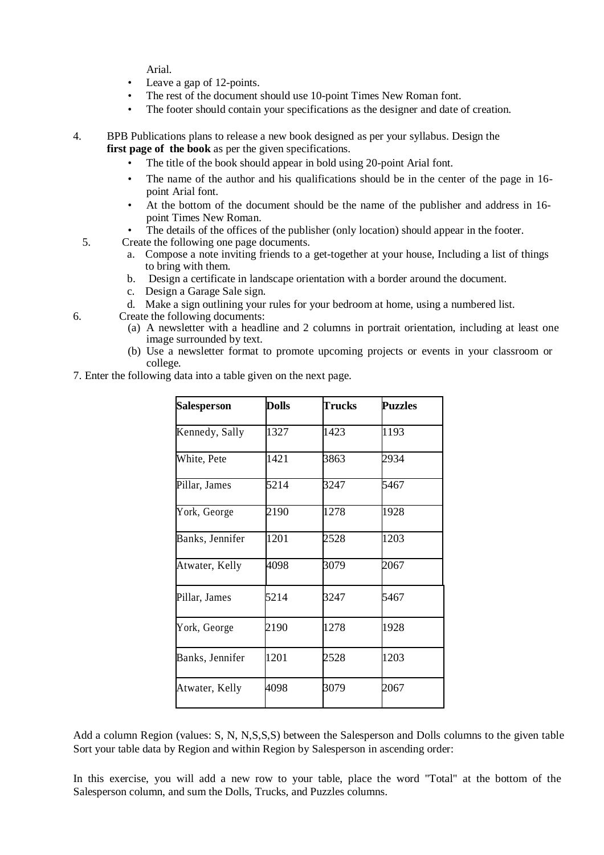Arial.

- Leave a gap of 12-points.
- The rest of the document should use 10-point Times New Roman font.
- The footer should contain your specifications as the designer and date of creation.

4. BPB Publications plans to release a new book designed as per your syllabus. Design the **first page of the book** as per the given specifications.

- The title of the book should appear in bold using 20-point Arial font.
- The name of the author and his qualifications should be in the center of the page in 16 point Arial font.
- At the bottom of the document should be the name of the publisher and address in 16 point Times New Roman.
- The details of the offices of the publisher (only location) should appear in the footer.
- 5. Create the following one page documents.
	- a. Compose a note inviting friends to a get-together at your house, Including a list of things to bring with them.
	- b. Design a certificate in landscape orientation with a border around the document.
	- c. Design a Garage Sale sign.
	- d. Make a sign outlining your rules for your bedroom at home, using a numbered list.
- 6. Create the following documents:
	- (a) A newsletter with a headline and 2 columns in portrait orientation, including at least one image surrounded by text.
	- (b) Use a newsletter format to promote upcoming projects or events in your classroom or college.
- 7. Enter the following data into a table given on the next page.

| <b>Salesperson</b> | Dolls | <b>Trucks</b> | <b>Puzzles</b> |
|--------------------|-------|---------------|----------------|
| Kennedy, Sally     | 1327  | 1423          | 1193           |
| White, Pete        | 1421  | 3863          | 2934           |
| Pillar, James      | 5214  | 3247          | 5467           |
| York, George       | 2190  | 1278          | 1928           |
| Banks, Jennifer    | 1201  | 2528          | 1203           |
| Atwater, Kelly     | 4098  | 3079          | 2067           |
| Pillar, James      | 5214  | 3247          | 5467           |
| York, George       | 2190  | 1278          | 1928           |
| Banks, Jennifer    | 1201  | 2528          | 1203           |
| Atwater, Kelly     | 4098  | 3079          | 2067           |

Add a column Region (values: S, N, N,S,S,S) between the Salesperson and Dolls columns to the given table Sort your table data by Region and within Region by Salesperson in ascending order:

In this exercise, you will add a new row to your table, place the word "Total" at the bottom of the Salesperson column, and sum the Dolls, Trucks, and Puzzles columns.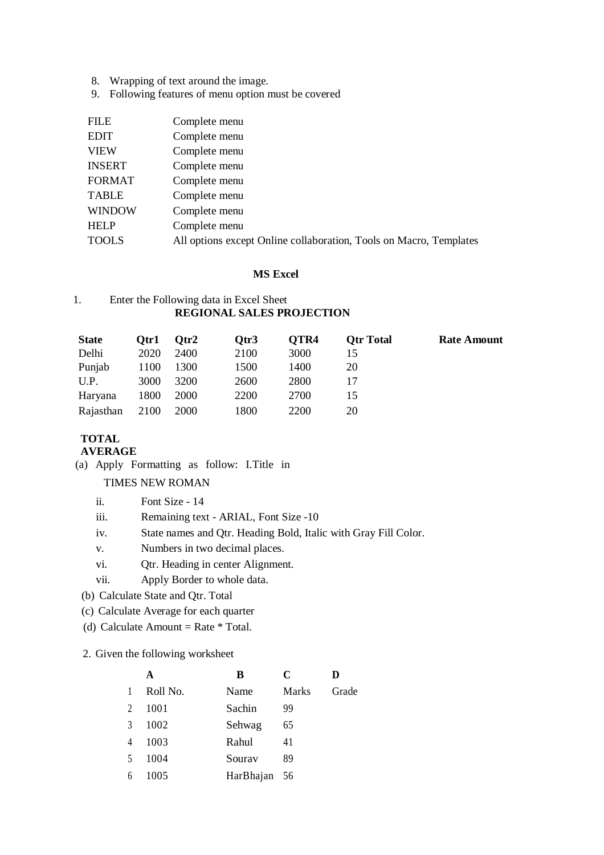- 8. Wrapping of text around the image.
- 9. Following features of menu option must be covered

| Complete menu                                                      |
|--------------------------------------------------------------------|
| Complete menu                                                      |
| Complete menu                                                      |
| Complete menu                                                      |
| Complete menu                                                      |
| Complete menu                                                      |
| Complete menu                                                      |
| Complete menu                                                      |
| All options except Online collaboration, Tools on Macro, Templates |
|                                                                    |

#### **MS Excel**

#### 1. Enter the Following data in Excel Sheet **REGIONAL SALES PROJECTION**

| <b>State</b> | Otr1 | Otr2        | Otr <sub>3</sub> | OTR4 | <b>Otr Total</b> | <b>Rate Amount</b> |
|--------------|------|-------------|------------------|------|------------------|--------------------|
| Delhi        | 2020 | 2400        | 2100             | 3000 | 15               |                    |
| Punjab       | 1100 | 1300        | 1500             | 1400 | 20               |                    |
| U.P.         | 3000 | 3200        | 2600             | 2800 |                  |                    |
| Haryana      | 1800 | <b>2000</b> | 2200             | 2700 | 15               |                    |
| Rajasthan    | 2100 | <b>2000</b> | 1800             | 2200 | 20               |                    |

# **TOTAL**

# **AVERAGE**

(a) Apply Formatting as follow: I.Title in

#### TIMES NEW ROMAN

- ii. Font Size 14
- iii. Remaining text ARIAL, Font Size -10
- iv. State names and Qtr. Heading Bold, Italic with Gray Fill Color.
- v. Numbers in two decimal places.
- vi. Qtr. Heading in center Alignment.
- vii. Apply Border to whole data.
- (b) Calculate State and Qtr. Total
- (c) Calculate Average for each quarter
- (d) Calculate Amount = Rate  $*$  Total.

2. Given the following worksheet

|                | A        | B            | C     | D     |
|----------------|----------|--------------|-------|-------|
| 1              | Roll No. | Name         | Marks | Grade |
| $\overline{2}$ | 1001     | Sachin       | 99    |       |
| 3              | 1002     | Sehwag       | 65    |       |
| $\overline{4}$ | 1003     | Rahul        | 41    |       |
| 5              | 1004     | Sourav       | 89    |       |
| 6              | 1005     | HarBhajan 56 |       |       |
|                |          |              |       |       |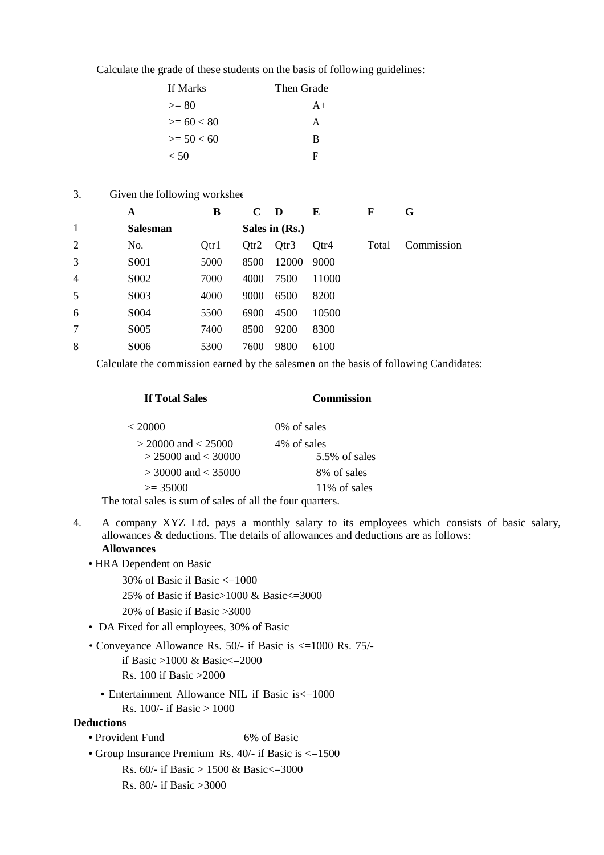Calculate the grade of these students on the basis of following guidelines:

| If Marks     | Then Grade |
|--------------|------------|
| $>= 80$      | $A+$       |
| $>= 60 < 80$ | A          |
| $>= 50 < 60$ | B          |
| < 50         | F          |

### 3. Given the following worksheet

|                | A                 | B    | $\mathbf C$ | D              | E     | F     | G          |
|----------------|-------------------|------|-------------|----------------|-------|-------|------------|
| 1              | <b>Salesman</b>   |      |             | Sales in (Rs.) |       |       |            |
| 2              | No.               | Qtr1 | Qtr2        | Qtr3           | Otr4  | Total | Commission |
| 3              | S <sub>001</sub>  | 5000 | 8500        | 12000          | 9000  |       |            |
| $\overline{4}$ | S <sub>0</sub> 02 | 7000 | 4000        | 7500           | 11000 |       |            |
| 5              | S <sub>0</sub> 03 | 4000 | 9000        | 6500           | 8200  |       |            |
| 6              | S <sub>0</sub> 04 | 5500 | 6900        | 4500           | 10500 |       |            |
| 7              | S <sub>0</sub> 05 | 7400 | 8500        | 9200           | 8300  |       |            |
| 8              | S006              | 5300 | 7600        | 9800           | 6100  |       |            |

Calculate the commission earned by the salesmen on the basis of following Candidates:

| <b>If Total Sales</b>                                           | <b>Commission</b> |
|-----------------------------------------------------------------|-------------------|
| < 20000                                                         | 0\% of sales      |
| $>$ 20000 and $<$ 25000                                         | 4\% of sales      |
| $> 25000$ and $< 30000$                                         | $5.5\%$ of sales  |
| $>$ 30000 and $<$ 35000                                         | 8% of sales       |
| $\geq$ 35000                                                    | 11% of sales      |
| $\ldots$ 1 1 $\ldots$<br>$\sim$ 1<br>$\sim$ $\sim$ 11 $\cdot$ 1 |                   |

The total sales is sum of sales of all the four quarters.

- 4. A company XYZ Ltd. pays a monthly salary to its employees which consists of basic salary, allowances & deductions. The details of allowances and deductions are as follows: **Allowances**
	- HRA Dependent on Basic
		- 30% of Basic if Basic <=1000 25% of Basic if Basic>1000 & Basic<=3000 20% of Basic if Basic >3000
	- DA Fixed for all employees, 30% of Basic
	- Conveyance Allowance Rs. 50/- if Basic is <=1000 Rs. 75/ if Basic >1000 & Basic<=2000 Rs. 100 if Basic >2000
		- Entertainment Allowance NIL if Basic is  $\leq$  1000 Rs. 100/- if Basic > 1000

# **Deductions**

- Provident Fund 6% of Basic
- Group Insurance Premium Rs. 40/- if Basic is <=1500
	- Rs. 60/- if Basic > 1500 & Basic<=3000
	- Rs. 80/- if Basic >3000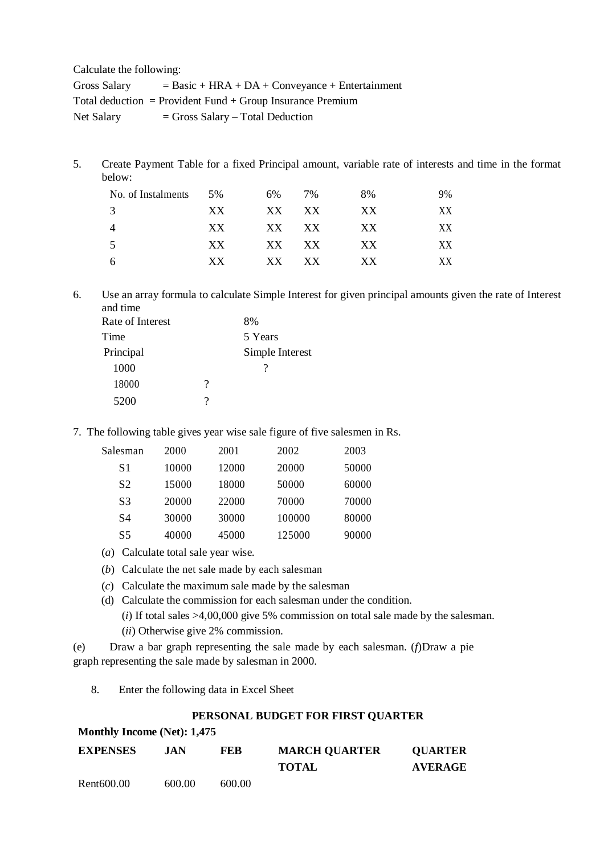Calculate the following:

| <b>Gross Salary</b> | $=$ Basic + HRA + DA + Conveyance + Entertainment          |
|---------------------|------------------------------------------------------------|
|                     | Total deduction = Provident Fund + Group Insurance Premium |
| Net Salary          | $=$ Gross Salary – Total Deduction                         |

5. Create Payment Table for a fixed Principal amount, variable rate of interests and time in the format below:

| No. of Instalments | 5%  | 6%     | 7%  | 8%  | 9% |
|--------------------|-----|--------|-----|-----|----|
|                    | XX. | $XX^-$ | XX. | XX  | XX |
|                    | XX. | XX.    | XX  | XX. | XХ |
|                    | XX. | XX     | XX  | XX. | XX |
| h                  | XX. | XX.    | XX. | XX. | XX |

6. Use an array formula to calculate Simple Interest for given principal amounts given the rate of Interest and time

| Rate of Interest |   | 8%              |
|------------------|---|-----------------|
| Time             |   | 5 Years         |
| Principal        |   | Simple Interest |
| 1000             |   |                 |
| 18000            | ? |                 |
| 5200             | 9 |                 |
|                  |   |                 |

7. The following table gives year wise sale figure of five salesmen in Rs.

| Salesman       | 2000  | 2001  | 2002   | 2003  |
|----------------|-------|-------|--------|-------|
| S1             | 10000 | 12000 | 20000  | 50000 |
| S <sub>2</sub> | 15000 | 18000 | 50000  | 60000 |
| S <sub>3</sub> | 20000 | 22000 | 70000  | 70000 |
| S4             | 30000 | 30000 | 100000 | 80000 |
| S5             | 40000 | 45000 | 125000 | 90000 |

- (*a*) Calculate total sale year wise.
- (*b*) Calculate the net sale made by each salesman
- (*c*) Calculate the maximum sale made by the salesman
- (d) Calculate the commission for each salesman under the condition.
	- (*i*) If total sales >4,00,000 give 5% commission on total sale made by the salesman.
	- (*ii*) Otherwise give 2% commission.

(e) Draw a bar graph representing the sale made by each salesman. (*f*)Draw a pie graph representing the sale made by salesman in 2000.

8. Enter the following data in Excel Sheet

#### **PERSONAL BUDGET FOR FIRST QUARTER**

| Monthly Income (Net): 1,475 |  |  |  |
|-----------------------------|--|--|--|
|-----------------------------|--|--|--|

| <b>EXPENSES</b> | .IAN   | <b>FEB</b> | <b>MARCH QUARTER</b> | <b>QUARTER</b> |
|-----------------|--------|------------|----------------------|----------------|
|                 |        |            | <b>TOTAL</b>         | <b>AVERAGE</b> |
| Rent600.00      | 600.00 | 600.00     |                      |                |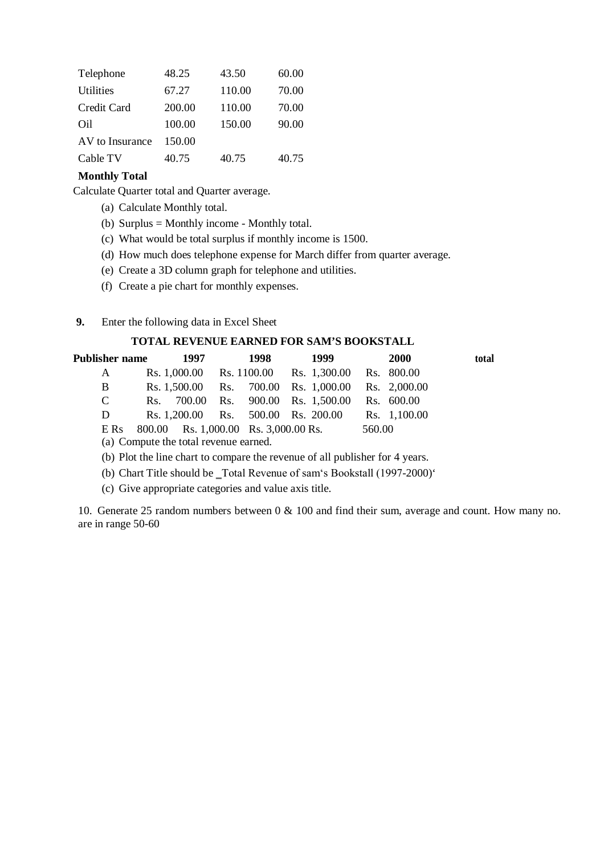| Telephone        | 48.25  | 43.50  | 60.00 |
|------------------|--------|--------|-------|
| <b>Utilities</b> | 67.27  | 110.00 | 70.00 |
| Credit Card      | 200.00 | 110.00 | 70.00 |
| Oil              | 100.00 | 150.00 | 90.00 |
| AV to Insurance  | 150.00 |        |       |
| Cable TV         | 40.75  | 40.75  | 40.75 |
|                  |        |        |       |

# **Monthly Total**

Calculate Quarter total and Quarter average.

- (a) Calculate Monthly total.
- (b) Surplus = Monthly income Monthly total.
- (c) What would be total surplus if monthly income is 1500.
- (d) How much does telephone expense for March differ from quarter average.
- (e) Create a 3D column graph for telephone and utilities.
- (f) Create a pie chart for monthly expenses.
- **9.** Enter the following data in Excel Sheet

# **TOTAL REVENUE EARNED FOR SAM'S BOOKSTALL**

| Publisher name |                                       | 1997                                 | 1998 | 1999                                 |        | <b>2000</b>  | total |
|----------------|---------------------------------------|--------------------------------------|------|--------------------------------------|--------|--------------|-------|
| A              |                                       | Rs. 1,000.00                         |      | Rs. 1100.00 Rs. 1,300.00 Rs. 800.00  |        |              |       |
| B              |                                       |                                      |      | Rs. 1,500.00 Rs. 700.00 Rs. 1,000.00 |        | Rs. 2,000.00 |       |
| $\mathbf C$    | Rs.                                   | 700.00                               |      | Rs. 900.00 Rs. 1,500.00              |        | Rs. 600.00   |       |
| D              |                                       |                                      |      | Rs. 1,200.00 Rs. 500.00 Rs. 200.00   |        | Rs. 1,100.00 |       |
| E Rs           |                                       | 800.00 Rs. 1,000.00 Rs. 3,000.00 Rs. |      |                                      | 560.00 |              |       |
|                | (a) Compute the total revenue earned. |                                      |      |                                      |        |              |       |

(b) Plot the line chart to compare the revenue of all publisher for 4 years.

(b) Chart Title should be \_Total Revenue of sam's Bookstall (1997-2000)'

(c) Give appropriate categories and value axis title.

10. Generate 25 random numbers between 0 & 100 and find their sum, average and count. How many no. are in range 50-60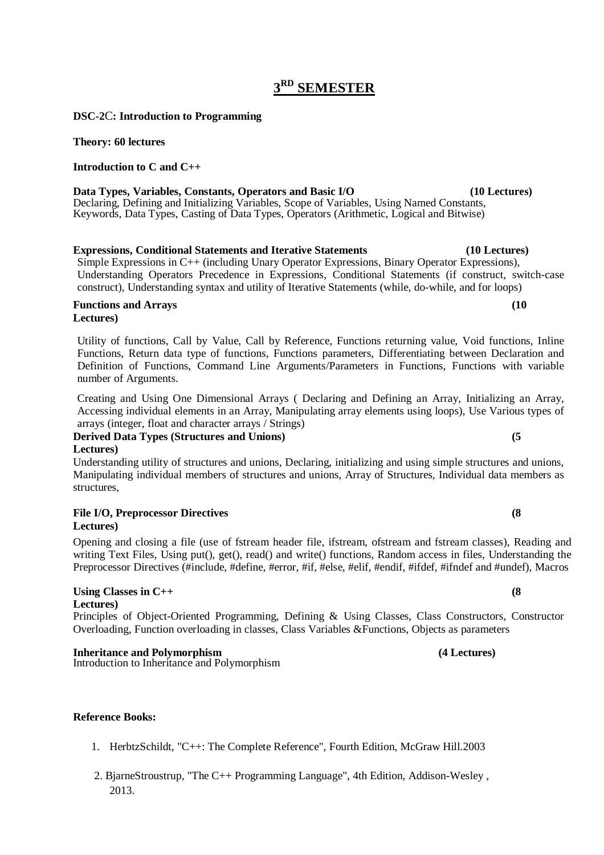# **3 RD SEMESTER**

# **DSC-2**C**: Introduction to Programming**

# **Theory: 60 lectures**

# **Introduction to C and C++**

**Data Types, Variables, Constants, Operators and Basic I/O (10 Lectures)** Declaring, Defining and Initializing Variables, Scope of Variables, Using Named Constants, Keywords, Data Types, Casting of Data Types, Operators (Arithmetic, Logical and Bitwise)

# **Expressions, Conditional Statements and Iterative Statements (10 Lectures)**

Simple Expressions in C++ (including Unary Operator Expressions, Binary Operator Expressions), Understanding Operators Precedence in Expressions, Conditional Statements (if construct, switch-case construct), Understanding syntax and utility of Iterative Statements (while, do-while, and for loops)

#### **Functions and Arrays (10 Lectures)**

Utility of functions, Call by Value, Call by Reference, Functions returning value, Void functions, Inline Functions, Return data type of functions, Functions parameters, Differentiating between Declaration and Definition of Functions, Command Line Arguments/Parameters in Functions, Functions with variable number of Arguments.

Creating and Using One Dimensional Arrays ( Declaring and Defining an Array, Initializing an Array, Accessing individual elements in an Array, Manipulating array elements using loops), Use Various types of arrays (integer, float and character arrays / Strings)

**Derived Data Types (Structures and Unions) (5 Lectures)**

Understanding utility of structures and unions, Declaring, initializing and using simple structures and unions, Manipulating individual members of structures and unions, Array of Structures, Individual data members as structures,

#### **File I/O, Preprocessor Directives (8 Lectures)**

Opening and closing a file (use of fstream header file, ifstream, ofstream and fstream classes), Reading and writing Text Files, Using put(), get(), read() and write() functions, Random access in files, Understanding the Preprocessor Directives (#include, #define, #error, #if, #else, #elif, #endif, #ifdef, #ifndef and #undef), Macros

# Using Classes in C++ **(8)**

**Lectures)**

Principles of Object-Oriented Programming, Defining & Using Classes, Class Constructors, Constructor Overloading, Function overloading in classes, Class Variables &Functions, Objects as parameters

#### **Inheritance and Polymorphism (4 Lectures)**

Introduction to Inheritance and Polymorphism

# **Reference Books:**

- 1. HerbtzSchildt, "C++: The Complete Reference", Fourth Edition, McGraw Hill.2003
- 2. BjarneStroustrup, "The C++ Programming Language", 4th Edition, Addison-Wesley , 2013.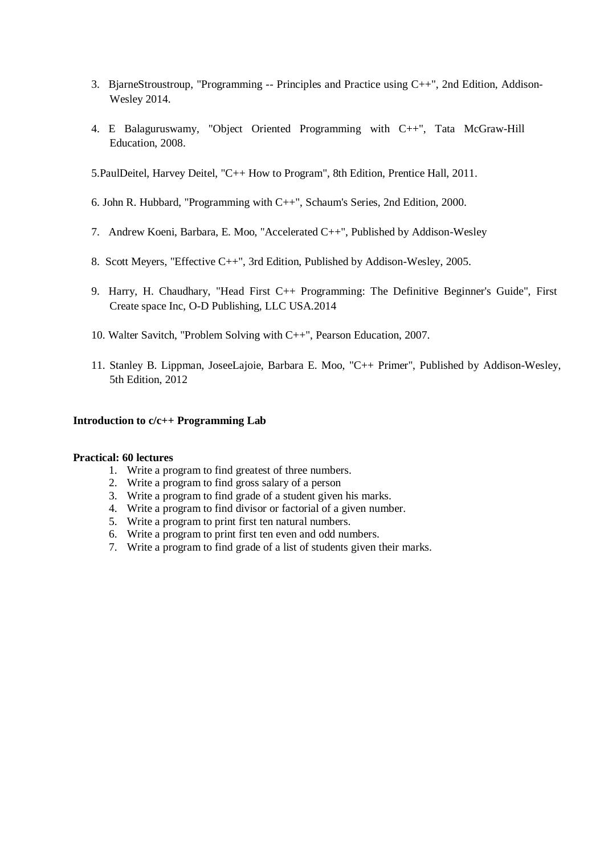- 3. BjarneStroustroup, "Programming -- Principles and Practice using C++", 2nd Edition, Addison-Wesley 2014.
- 4. E Balaguruswamy, "Object Oriented Programming with C++", Tata McGraw-Hill Education, 2008.
- 5.PaulDeitel, Harvey Deitel, "C++ How to Program", 8th Edition, Prentice Hall, 2011.
- 6. John R. Hubbard, "Programming with C++", Schaum's Series, 2nd Edition, 2000.
- 7. Andrew Koeni, Barbara, E. Moo, "Accelerated C++", Published by Addison-Wesley
- 8. Scott Meyers, "Effective C++", 3rd Edition, Published by Addison-Wesley, 2005.
- 9. Harry, H. Chaudhary, "Head First C++ Programming: The Definitive Beginner's Guide", First Create space Inc, O-D Publishing, LLC USA.2014
- 10. Walter Savitch, "Problem Solving with C++", Pearson Education, 2007.
- 11. Stanley B. Lippman, JoseeLajoie, Barbara E. Moo, "C++ Primer", Published by Addison-Wesley, 5th Edition, 2012

#### **Introduction to c/c++ Programming Lab**

#### **Practical: 60 lectures**

- 1. Write a program to find greatest of three numbers.
- 2. Write a program to find gross salary of a person
- 3. Write a program to find grade of a student given his marks.
- 4. Write a program to find divisor or factorial of a given number.
- 5. Write a program to print first ten natural numbers.
- 6. Write a program to print first ten even and odd numbers.
- 7. Write a program to find grade of a list of students given their marks.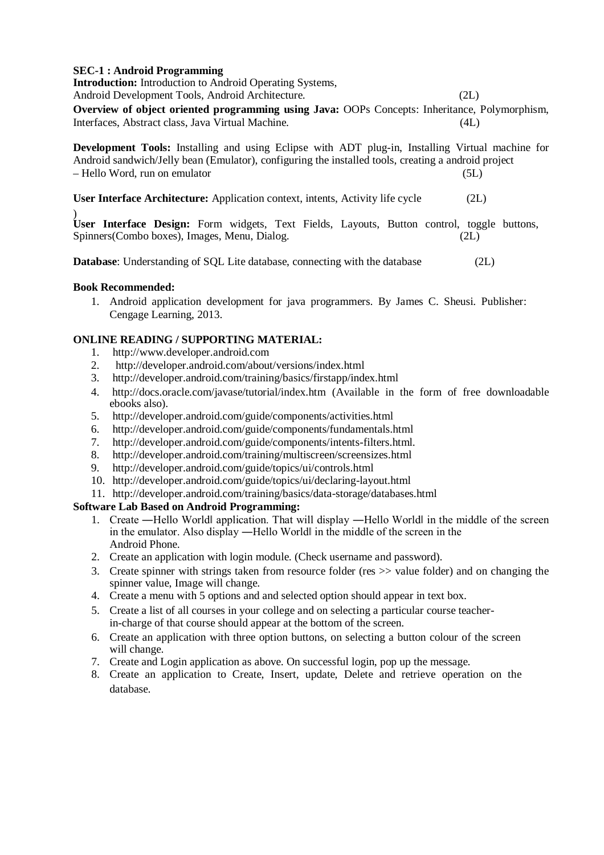### **SEC-1 : Android Programming**

**Introduction:** Introduction to Android Operating Systems, Android Development Tools, Android Architecture. (2L) **Overview of object oriented programming using Java:** OOPs Concepts: Inheritance, Polymorphism, Interfaces, Abstract class, Java Virtual Machine. (4L) **Development Tools:** Installing and using Eclipse with ADT plug-in, Installing Virtual machine for Android sandwich/Jelly bean (Emulator), configuring the installed tools, creating a android project – Hello Word, run on emulator (5L) **User Interface Architecture:** Application context, intents, Activity life cycle (2L) ) **User Interface Design:** Form widgets, Text Fields, Layouts, Button control, toggle buttons,

**Database:** Understanding of SQL Lite database, connecting with the database (2L)

Spinners(Combo boxes), Images, Menu, Dialog. (2L)

### **Book Recommended:**

1. Android application development for java programmers. By James C. Sheusi. Publisher: Cengage Learning, 2013.

### **ONLINE READING / SUPPORTING MATERIAL:**

- 1. http://www.developer.android.com
- 2. http://developer.android.com/about/versions/index.html
- 3. http://developer.android.com/training/basics/firstapp/index.html
- 4. http://docs.oracle.com/javase/tutorial/index.htm (Available in the form of free downloadable ebooks also).
- 5. http://developer.android.com/guide/components/activities.html
- 6. http://developer.android.com/guide/components/fundamentals.html
- 7. http://developer.android.com/guide/components/intents-filters.html.
- 8. http://developer.android.com/training/multiscreen/screensizes.html<br>9. http://developer.android.com/guide/topics/ui/controls.html
- 9. http://developer.android.com/guide/topics/ui/controls.html
- 10. http://developer.android.com/guide/topics/ui/declaring-layout.html
- 11. http://developer.android.com/training/basics/data-storage/databases.html

# **Software Lab Based on Android Programming:**

- 1. Create —Hello World| application. That will display —Hello World| in the middle of the screen in the emulator. Also display —Hello Worldl in the middle of the screen in the Android Phone.
- 2. Create an application with login module. (Check username and password).
- 3. Create spinner with strings taken from resource folder (res >> value folder) and on changing the spinner value, Image will change.
- 4. Create a menu with 5 options and and selected option should appear in text box.
- 5. Create a list of all courses in your college and on selecting a particular course teacherin-charge of that course should appear at the bottom of the screen.
- 6. Create an application with three option buttons, on selecting a button colour of the screen will change.
- 7. Create and Login application as above. On successful login, pop up the message.
- 8. Create an application to Create, Insert, update, Delete and retrieve operation on the database.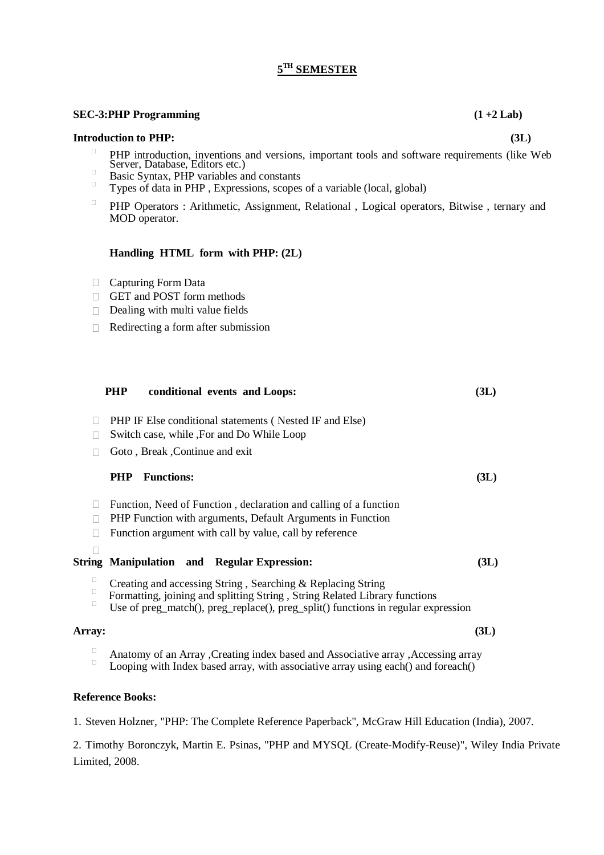# **5 TH SEMESTER**

#### **SEC-3:PHP Programming (1 +2 Lab)**

#### **Introduction to PHP: (3L)**

- $\Box$ PHP introduction, inventions and versions, important tools and software requirements (like Web Server, Database, Editors etc.)
- $\Box$  Basic Syntax, PHP variables and constants
- Types of data in PHP , Expressions, scopes of a variable (local, global)
- $\Box$ PHP Operators : Arithmetic, Assignment, Relational , Logical operators, Bitwise , ternary and MOD operator.

#### **Handling HTML form with PHP: (2L)**

- Capturing Form Data
- GET and POST form methods
- $\Box$  Dealing with multi value fields
- $\Box$  Redirecting a form after submission

|             | PHP IF Else conditional statements (Nested IF and Else)                                                                                                                                                                        |      |
|-------------|--------------------------------------------------------------------------------------------------------------------------------------------------------------------------------------------------------------------------------|------|
| $\Box$      | Switch case, while , For and Do While Loop                                                                                                                                                                                     |      |
|             | Goto, Break, Continue and exit                                                                                                                                                                                                 |      |
|             | <b>PHP</b> Functions:                                                                                                                                                                                                          | (3L) |
| $\Box$      | Function, Need of Function, declaration and calling of a function                                                                                                                                                              |      |
| П           | PHP Function with arguments, Default Arguments in Function                                                                                                                                                                     |      |
| П           | Function argument with call by value, call by reference                                                                                                                                                                        |      |
|             |                                                                                                                                                                                                                                |      |
|             | <b>String Manipulation and Regular Expression:</b>                                                                                                                                                                             | (3L) |
| Ω<br>о<br>□ | Creating and accessing String, Searching & Replacing String<br>Formatting, joining and splitting String, String Related Library functions<br>Use of preg_match(), preg_replace(), preg_split() functions in regular expression |      |
| Array:      |                                                                                                                                                                                                                                | (3L) |
| $\Box$      | Anatomy of an Array , Creating index based and Associative array , Accessing array<br>Looping with Index based array, with associative array using each() and foreach()                                                        |      |
|             | <b>Reference Books:</b>                                                                                                                                                                                                        |      |

**PHP conditional events and Loops: (3L)**

1. Steven Holzner, "PHP: The Complete Reference Paperback", McGraw Hill Education (India), 2007.

2. Timothy Boronczyk, Martin E. Psinas, "PHP and MYSQL (Create-Modify-Reuse)", Wiley India Private Limited, 2008.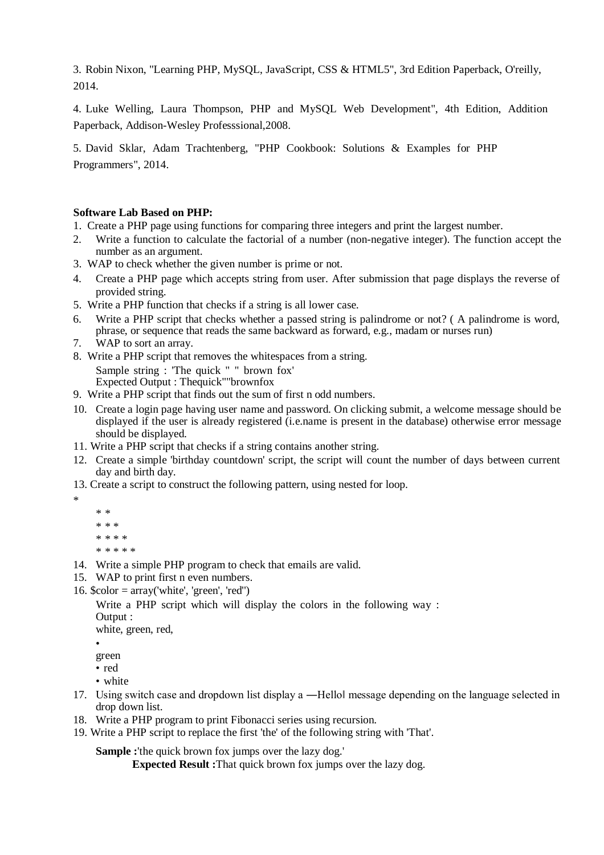3. Robin Nixon, "Learning PHP, MySQL, JavaScript, CSS & HTML5", 3rd Edition Paperback, O'reilly, 2014.

4. Luke Welling, Laura Thompson, PHP and MySQL Web Development", 4th Edition, Addition Paperback, Addison-Wesley Professsional,2008.

5. David Sklar, Adam Trachtenberg, "PHP Cookbook: Solutions & Examples for PHP Programmers", 2014.

#### **Software Lab Based on PHP:**

- 1. Create a PHP page using functions for comparing three integers and print the largest number.
- 2. Write a function to calculate the factorial of a number (non-negative integer). The function accept the number as an argument.
- 3. WAP to check whether the given number is prime or not.
- 4. Create a PHP page which accepts string from user. After submission that page displays the reverse of provided string.
- 5. Write a PHP function that checks if a string is all lower case.
- 6. Write a PHP script that checks whether a passed string is palindrome or not? ( A palindrome is word, phrase, or sequence that reads the same backward as forward, e.g., madam or nurses run)
- 7. WAP to sort an array.
- 8. Write a PHP script that removes the whitespaces from a string.

Sample string : 'The quick " " brown fox'

Expected Output : Thequick""brownfox

- 9. Write a PHP script that finds out the sum of first n odd numbers.
- 10. Create a login page having user name and password. On clicking submit, a welcome message should be displayed if the user is already registered (i.e.name is present in the database) otherwise error message should be displayed.
- 11. Write a PHP script that checks if a string contains another string.
- 12. Create a simple 'birthday countdown' script, the script will count the number of days between current day and birth day.
- 13. Create a script to construct the following pattern, using nested for loop.
	- \* \* \* \* \* \* \* \* \*

\*

- \* \* \* \* \*
- 14. Write a simple PHP program to check that emails are valid.
- 15. WAP to print first n even numbers.
- 16.  $\text{foot} = \arctan(\text{white}, \text{green}, \text{red})$

Write a PHP script which will display the colors in the following way : Output :

white, green, red.

•

- green • red
- white
- 17. Using switch case and dropdown list display a —Hello message depending on the language selected in drop down list.
- 18. Write a PHP program to print Fibonacci series using recursion.
- 19. Write a PHP script to replace the first 'the' of the following string with 'That'.

**Sample :**'the quick brown fox jumps over the lazy dog.'

**Expected Result :**That quick brown fox jumps over the lazy dog.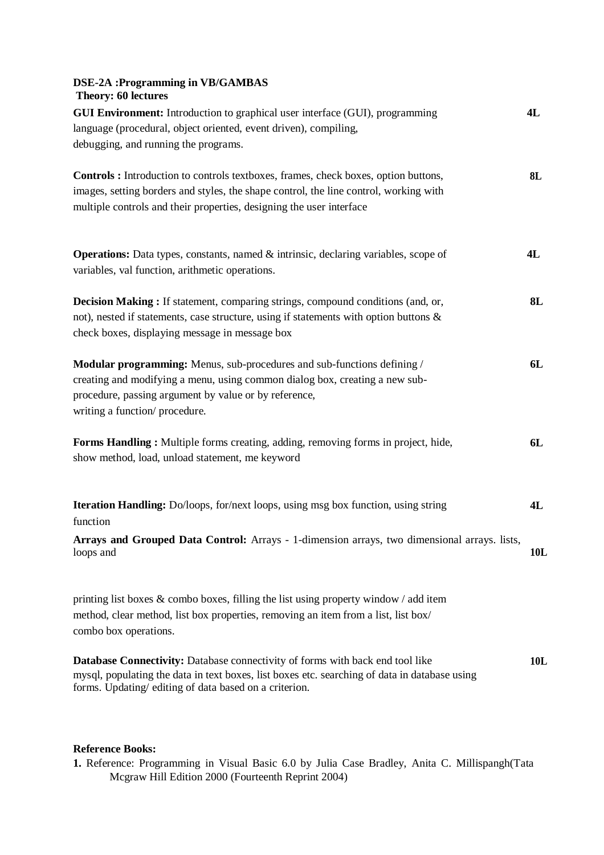### **DSE-2A :Programming in VB/GAMBAS Theory: 60 lectures**

| <b>GUI Environment:</b> Introduction to graphical user interface (GUI), programming<br>language (procedural, object oriented, event driven), compiling,<br>debugging, and running the programs.                                                             | 4L  |
|-------------------------------------------------------------------------------------------------------------------------------------------------------------------------------------------------------------------------------------------------------------|-----|
| <b>Controls</b> : Introduction to controls textboxes, frames, check boxes, option buttons,<br>images, setting borders and styles, the shape control, the line control, working with<br>multiple controls and their properties, designing the user interface | 8L  |
| <b>Operations:</b> Data types, constants, named & intrinsic, declaring variables, scope of<br>variables, val function, arithmetic operations.                                                                                                               | 4L  |
| <b>Decision Making:</b> If statement, comparing strings, compound conditions (and, or,<br>not), nested if statements, case structure, using if statements with option buttons &<br>check boxes, displaying message in message box                           | 8L  |
| Modular programming: Menus, sub-procedures and sub-functions defining /<br>creating and modifying a menu, using common dialog box, creating a new sub-<br>procedure, passing argument by value or by reference,<br>writing a function/ procedure.           | 6L  |
| Forms Handling: Multiple forms creating, adding, removing forms in project, hide,<br>show method, load, unload statement, me keyword                                                                                                                        | 6L  |
| Iteration Handling: Do/loops, for/next loops, using msg box function, using string<br>function                                                                                                                                                              | 4L  |
| Arrays and Grouped Data Control: Arrays - 1-dimension arrays, two dimensional arrays. lists,<br>loops and                                                                                                                                                   | 10L |
| printing list boxes $\&$ combo boxes, filling the list using property window / add item<br>method, clear method, list box properties, removing an item from a list, list box/<br>combo box operations.                                                      |     |

**Database Connectivity:** Database connectivity of forms with back end tool like **10L** mysql, populating the data in text boxes, list boxes etc. searching of data in database using forms. Updating/ editing of data based on a criterion.

### **Reference Books:**

**1.** Reference: Programming in Visual Basic 6.0 by Julia Case Bradley, Anita C. Millispangh(Tata Mcgraw Hill Edition 2000 (Fourteenth Reprint 2004)